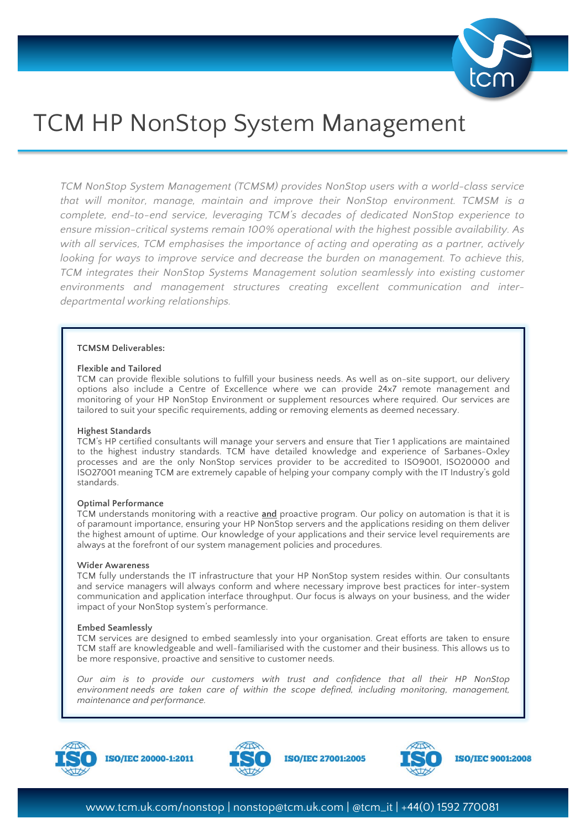

# TCM HP NonStop System Management

*TCM NonStop System Management (TCMSM) provides NonStop users with a world-class service that will monitor, manage, maintain and improve their NonStop environment. TCMSM is a complete, end-to-end service, leveraging TCM's decades of dedicated NonStop experience to ensure mission-critical systems remain 100% operational with the highest possible availability. As with all services, TCM emphasises the importance of acting and operating as a partner, actively*  looking for ways to improve service and decrease the burden on management. To achieve this, *TCM integrates their NonStop Systems Management solution seamlessly into existing customer environments and management structures creating excellent communication and interdepartmental working relationships.*

# **TCMSM Deliverables:**

## **Flexible and Tailored**

TCM can provide flexible solutions to fulfill your business needs. As well as on-site support, our delivery options also include a Centre of Excellence where we can provide 24x7 remote management and monitoring of your HP NonStop Environment or supplement resources where required. Our services are tailored to suit your specific requirements, adding or removing elements as deemed necessary.

## **Highest Standards**

TCM's HP certified consultants will manage your servers and ensure that Tier 1 applications are maintained to the highest industry standards. TCM have detailed knowledge and experience of Sarbanes-Oxley processes and are the only NonStop services provider to be accredited to ISO9001, ISO20000 and ISO27001 meaning TCM are extremely capable of helping your company comply with the IT Industry's gold standards.

## **Optimal Performance**

TCM understands monitoring with a reactive **and** proactive program. Our policy on automation is that it is of paramount importance, ensuring your HP NonStop servers and the applications residing on them deliver the highest amount of uptime. Our knowledge of your applications and their service level requirements are always at the forefront of our system management policies and procedures.

## **Wider Awareness**

TCM fully understands the IT infrastructure that your HP NonStop system resides within. Our consultants and service managers will always conform and where necessary improve best practices for inter-system communication and application interface throughput. Our focus is always on your business, and the wider impact of your NonStop system's performance.

# **Embed Seamlessly**

TCM services are designed to embed seamlessly into your organisation. Great efforts are taken to ensure TCM staff are knowledgeable and well-familiarised with the customer and their business. This allows us to be more responsive, proactive and sensitive to customer needs.

*Our aim is to provide our customers with trust and confidence that all their HP NonStop environment needs are taken care of within the scope defined, including monitoring, management, maintenance and performance.*



**ISO/IEC 20000-1:2011** 



**ISO/IEC 27001:2005**